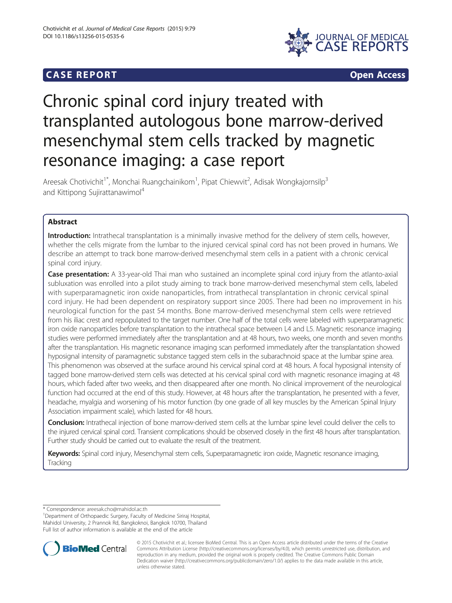# **CASE REPORT CASE REPORT**



# Chronic spinal cord injury treated with transplanted autologous bone marrow-derived mesenchymal stem cells tracked by magnetic resonance imaging: a case report

Areesak Chotivichit<sup>1\*</sup>, Monchai Ruangchainikom<sup>1</sup>, Pipat Chiewvit<sup>2</sup>, Adisak Wongkajornsilp<sup>3</sup> and Kittipong Sujirattanawimol<sup>4</sup>

# Abstract

Introduction: Intrathecal transplantation is a minimally invasive method for the delivery of stem cells, however, whether the cells migrate from the lumbar to the injured cervical spinal cord has not been proved in humans. We describe an attempt to track bone marrow-derived mesenchymal stem cells in a patient with a chronic cervical spinal cord injury.

Case presentation: A 33-year-old Thai man who sustained an incomplete spinal cord injury from the atlanto-axial subluxation was enrolled into a pilot study aiming to track bone marrow-derived mesenchymal stem cells, labeled with superparamagnetic iron oxide nanoparticles, from intrathecal transplantation in chronic cervical spinal cord injury. He had been dependent on respiratory support since 2005. There had been no improvement in his neurological function for the past 54 months. Bone marrow-derived mesenchymal stem cells were retrieved from his iliac crest and repopulated to the target number. One half of the total cells were labeled with superparamagnetic iron oxide nanoparticles before transplantation to the intrathecal space between L4 and L5. Magnetic resonance imaging studies were performed immediately after the transplantation and at 48 hours, two weeks, one month and seven months after the transplantation. His magnetic resonance imaging scan performed immediately after the transplantation showed hyposignal intensity of paramagnetic substance tagged stem cells in the subarachnoid space at the lumbar spine area. This phenomenon was observed at the surface around his cervical spinal cord at 48 hours. A focal hyposignal intensity of tagged bone marrow-derived stem cells was detected at his cervical spinal cord with magnetic resonance imaging at 48 hours, which faded after two weeks, and then disappeared after one month. No clinical improvement of the neurological function had occurred at the end of this study. However, at 48 hours after the transplantation, he presented with a fever, headache, myalgia and worsening of his motor function (by one grade of all key muscles by the American Spinal Injury Association impairment scale), which lasted for 48 hours.

Conclusion: Intrathecal injection of bone marrow-derived stem cells at the lumbar spine level could deliver the cells to the injured cervical spinal cord. Transient complications should be observed closely in the first 48 hours after transplantation. Further study should be carried out to evaluate the result of the treatment.

Keywords: Spinal cord injury, Mesenchymal stem cells, Superparamagnetic iron oxide, Magnetic resonance imaging, **Tracking** 

\* Correspondence: [areesak.cho@mahidol.ac.th](mailto:areesak.cho@mahidol.ac.th) <sup>1</sup>

<sup>1</sup>Department of Orthopaedic Surgery, Faculty of Medicine Siriraj Hospital, Mahidol University, 2 Prannok Rd, Bangkoknoi, Bangkok 10700, Thailand Full list of author information is available at the end of the article



© 2015 Chotivichit et al.; licensee BioMed Central. This is an Open Access article distributed under the terms of the Creative Commons Attribution License [\(http://creativecommons.org/licenses/by/4.0\)](http://creativecommons.org/licenses/by/4.0), which permits unrestricted use, distribution, and reproduction in any medium, provided the original work is properly credited. The Creative Commons Public Domain Dedication waiver [\(http://creativecommons.org/publicdomain/zero/1.0/](http://creativecommons.org/publicdomain/zero/1.0/)) applies to the data made available in this article, unless otherwise stated.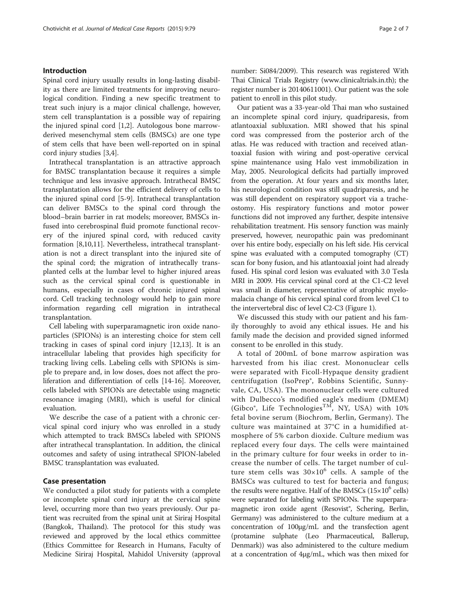## Introduction

Spinal cord injury usually results in long-lasting disability as there are limited treatments for improving neurological condition. Finding a new specific treatment to treat such injury is a major clinical challenge, however, stem cell transplantation is a possible way of repairing the injured spinal cord [\[1,2](#page-5-0)]. Autologous bone marrowderived mesenchymal stem cells (BMSCs) are one type of stem cells that have been well-reported on in spinal cord injury studies [\[3,4](#page-5-0)].

Intrathecal transplantation is an attractive approach for BMSC transplantation because it requires a simple technique and less invasive approach. Intrathecal BMSC transplantation allows for the efficient delivery of cells to the injured spinal cord [[5](#page-5-0)-[9\]](#page-5-0). Intrathecal transplantation can deliver BMSCs to the spinal cord through the blood–brain barrier in rat models; moreover, BMSCs infused into cerebrospinal fluid promote functional recovery of the injured spinal cord, with reduced cavity formation [[8,10,](#page-5-0)[11\]](#page-6-0). Nevertheless, intrathecal transplantation is not a direct transplant into the injured site of the spinal cord; the migration of intrathecally transplanted cells at the lumbar level to higher injured areas such as the cervical spinal cord is questionable in humans, especially in cases of chronic injured spinal cord. Cell tracking technology would help to gain more information regarding cell migration in intrathecal transplantation.

Cell labeling with superparamagnetic iron oxide nanoparticles (SPIONs) is an interesting choice for stem cell tracking in cases of spinal cord injury [\[12,13](#page-6-0)]. It is an intracellular labeling that provides high specificity for tracking living cells. Labeling cells with SPIONs is simple to prepare and, in low doses, does not affect the proliferation and differentiation of cells [\[14](#page-6-0)-[16\]](#page-6-0). Moreover, cells labeled with SPIONs are detectable using magnetic resonance imaging (MRI), which is useful for clinical evaluation.

We describe the case of a patient with a chronic cervical spinal cord injury who was enrolled in a study which attempted to track BMSCs labeled with SPIONS after intrathecal transplantation. In addition, the clinical outcomes and safety of using intrathecal SPION-labeled BMSC transplantation was evaluated.

## Case presentation

We conducted a pilot study for patients with a complete or incomplete spinal cord injury at the cervical spine level, occurring more than two years previously. Our patient was recruited from the spinal unit at Siriraj Hospital (Bangkok, Thailand). The protocol for this study was reviewed and approved by the local ethics committee (Ethics Committee for Research in Humans, Faculty of Medicine Siriraj Hospital, Mahidol University (approval number: Si084/2009). This research was registered With Thai Clinical Trials Registry ([www.clinicaltrials.in.th\)](http://www.clinicaltrials.in.th/); the register number is 20140611001). Our patient was the sole patient to enroll in this pilot study.

Our patient was a 33-year-old Thai man who sustained an incomplete spinal cord injury, quadriparesis, from atlantoaxial subluxation. MRI showed that his spinal cord was compressed from the posterior arch of the atlas. He was reduced with traction and received atlantoaxial fusion with wiring and post-operative cervical spine maintenance using Halo vest immobilization in May, 2005. Neurological deficits had partially improved from the operation. At four years and six months later, his neurological condition was still quadriparesis, and he was still dependent on respiratory support via a tracheostomy. His respiratory functions and motor power functions did not improved any further, despite intensive rehabilitation treatment. His sensory function was mainly preserved, however, neuropathic pain was predominant over his entire body, especially on his left side. His cervical spine was evaluated with a computed tomography (CT) scan for bony fusion, and his atlantoaxial joint had already fused. His spinal cord lesion was evaluated with 3.0 Tesla MRI in 2009. His cervical spinal cord at the C1-C2 level was small in diameter, representative of atrophic myelomalacia change of his cervical spinal cord from level C1 to the intervertebral disc of level C2-C3 (Figure [1\)](#page-2-0).

We discussed this study with our patient and his family thoroughly to avoid any ethical issues. He and his family made the decision and provided signed informed consent to be enrolled in this study.

A total of 200mL of bone marrow aspiration was harvested from his iliac crest. Mononuclear cells were separated with Ficoll-Hypaque density gradient centrifugation (IsoPrep®, Robbins Scientific, Sunnyvale, CA, USA). The mononuclear cells were cultured with Dulbecco's modified eagle's medium (DMEM) (Gibco<sup>®</sup>, Life Technologies<sup>TM</sup>, NY, USA) with 10% fetal bovine serum (Biochrom, Berlin, Germany). The culture was maintained at 37°C in a humidified atmosphere of 5% carbon dioxide. Culture medium was replaced every four days. The cells were maintained in the primary culture for four weeks in order to increase the number of cells. The target number of culture stem cells was  $30 \times 10^6$  cells. A sample of the BMSCs was cultured to test for bacteria and fungus; the results were negative. Half of the BMSCs  $(15\times10^{6} \text{ cells})$ were separated for labeling with SPIONs. The superparamagnetic iron oxide agent (Resovist®, Schering, Berlin, Germany) was administered to the culture medium at a concentration of 100μg/mL and the transfection agent (protamine sulphate (Leo Pharmaceutical, Ballerup, Denmark)) was also administered to the culture medium at a concentration of 4μg/mL, which was then mixed for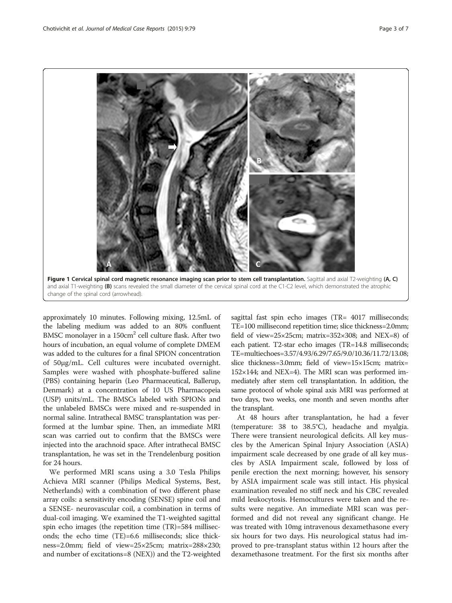<span id="page-2-0"></span>

approximately 10 minutes. Following mixing, 12.5mL of the labeling medium was added to an 80% confluent BMSC monolayer in a 150cm<sup>2</sup> cell culture flask. After two hours of incubation, an equal volume of complete DMEM was added to the cultures for a final SPION concentration of 50μg/mL. Cell cultures were incubated overnight. Samples were washed with phosphate-buffered saline (PBS) containing heparin (Leo Pharmaceutical, Ballerup, Denmark) at a concentration of 10 US Pharmacopeia (USP) units/mL. The BMSCs labeled with SPIONs and the unlabeled BMSCs were mixed and re-suspended in normal saline. Intrathecal BMSC transplantation was performed at the lumbar spine. Then, an immediate MRI scan was carried out to confirm that the BMSCs were injected into the arachnoid space. After intrathecal BMSC transplantation, he was set in the Trendelenburg position for 24 hours.

We performed MRI scans using a 3.0 Tesla Philips Achieva MRI scanner (Philips Medical Systems, Best, Netherlands) with a combination of two different phase array coils: a sensitivity encoding (SENSE) spine coil and a SENSE- neurovascular coil, a combination in terms of dual-coil imaging. We examined the T1-weighted sagittal spin echo images (the repetition time (TR)=584 milliseconds; the echo time (TE)=6.6 milliseconds; slice thickness=2.0mm; field of view=25×25cm; matrix=288×230; and number of excitations=8 (NEX)) and the T2-weighted

sagittal fast spin echo images (TR= 4017 milliseconds; TE=100 millisecond repetition time; slice thickness=2.0mm; field of view=25×25cm; matrix=352×308; and NEX=8) of each patient. T2-star echo images (TR=14.8 milliseconds; TE=multiechoes=3.57/4.93/6.29/7.65/9.0/10.36/11.72/13.08; slice thickness=3.0mm; field of view=15×15cm; matrix= 152×144; and NEX=4). The MRI scan was performed immediately after stem cell transplantation. In addition, the same protocol of whole spinal axis MRI was performed at two days, two weeks, one month and seven months after the transplant.

At 48 hours after transplantation, he had a fever (temperature: 38 to 38.5°C), headache and myalgia. There were transient neurological deficits. All key muscles by the American Spinal Injury Association (ASIA) impairment scale decreased by one grade of all key muscles by ASIA Impairment scale, followed by loss of penile erection the next morning; however, his sensory by ASIA impairment scale was still intact. His physical examination revealed no stiff neck and his CBC revealed mild leukocytosis. Hemocultures were taken and the results were negative. An immediate MRI scan was performed and did not reveal any significant change. He was treated with 10mg intravenous dexamethasone every six hours for two days. His neurological status had improved to pre-transplant status within 12 hours after the dexamethasone treatment. For the first six months after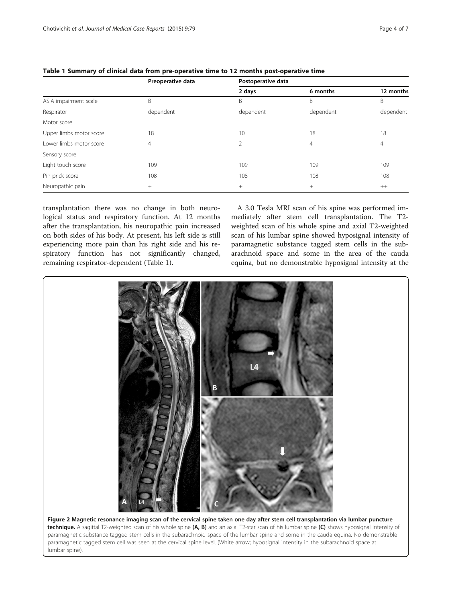|                         | Preoperative data | Postoperative data |                |           |
|-------------------------|-------------------|--------------------|----------------|-----------|
|                         |                   | 2 days             | 6 months       | 12 months |
| ASIA impairment scale   | B                 | B                  | B              | B         |
| Respirator              | dependent         | dependent          | dependent      | dependent |
| Motor score             |                   |                    |                |           |
| Upper limbs motor score | 18                | 10                 | 18             | 18        |
| Lower limbs motor score | 4                 | $\overline{2}$     | $\overline{4}$ | 4         |
| Sensory score           |                   |                    |                |           |
| Light touch score       | 109               | 109                | 109            | 109       |
| Pin prick score         | 108               | 108                | 108            | 108       |
| Neuropathic pain        | $^{+}$            | $+$                | $^{+}$         | $++$      |

<span id="page-3-0"></span>

| Table 1 Summary of clinical data from pre-operative time to 12 months post-operative time |  |
|-------------------------------------------------------------------------------------------|--|
|-------------------------------------------------------------------------------------------|--|

transplantation there was no change in both neurological status and respiratory function. At 12 months after the transplantation, his neuropathic pain increased on both sides of his body. At present, his left side is still experiencing more pain than his right side and his respiratory function has not significantly changed, remaining respirator-dependent (Table 1).

A 3.0 Tesla MRI scan of his spine was performed immediately after stem cell transplantation. The T2 weighted scan of his whole spine and axial T2-weighted scan of his lumbar spine showed hyposignal intensity of paramagnetic substance tagged stem cells in the subarachnoid space and some in the area of the cauda equina, but no demonstrable hyposignal intensity at the



Figure 2 Magnetic resonance imaging scan of the cervical spine taken one day after stem cell transplantation via lumbar puncture technique. A sagittal T2-weighted scan of his whole spine (A, B) and an axial T2-star scan of his lumbar spine (C) shows hyposignal intensity of paramagnetic substance tagged stem cells in the subarachnoid space of the lumbar spine and some in the cauda equina. No demonstrable paramagnetic tagged stem cell was seen at the cervical spine level. (White arrow; hyposignal intensity in the subarachnoid space at lumbar spine).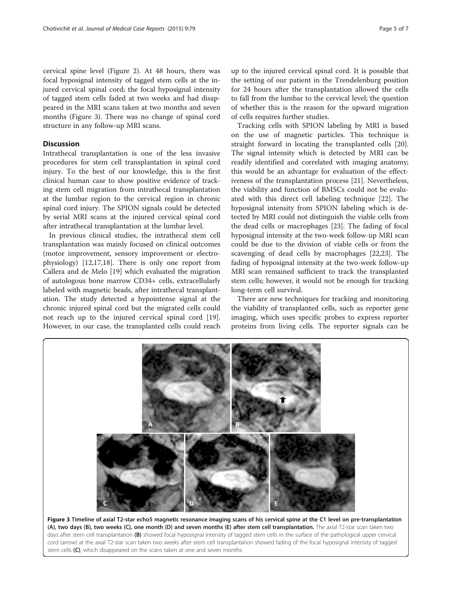cervical spine level (Figure [2](#page-3-0)). At 48 hours, there was focal hyposignal intensity of tagged stem cells at the injured cervical spinal cord; the focal hyposignal intensity of tagged stem cells faded at two weeks and had disappeared in the MRI scans taken at two months and seven months (Figure 3). There was no change of spinal cord structure in any follow-up MRI scans.

# **Discussion**

Intrathecal transplantation is one of the less invasive procedures for stem cell transplantation in spinal cord injury. To the best of our knowledge, this is the first clinical human case to show positive evidence of tracking stem cell migration from intrathecal transplantation at the lumbar region to the cervical region in chronic spinal cord injury. The SPION signals could be detected by serial MRI scans at the injured cervical spinal cord after intrathecal transplantation at the lumbar level.

In previous clinical studies, the intrathecal stem cell transplantation was mainly focused on clinical outcomes (motor improvement, sensory improvement or electrophysiology) [[12,17,18](#page-6-0)]. There is only one report from Callera and de Melo [\[19\]](#page-6-0) which evaluated the migration of autologous bone marrow CD34+ cells, extracellularly labeled with magnetic beads, after intrathecal transplantation. The study detected a hypointense signal at the chronic injured spinal cord but the migrated cells could not reach up to the injured cervical spinal cord [\[19](#page-6-0)]. However, in our case, the transplanted cells could reach

up to the injured cervical spinal cord. It is possible that the setting of our patient in the Trendelenburg position for 24 hours after the transplantation allowed the cells to fall from the lumbar to the cervical level; the question of whether this is the reason for the upward migration of cells requires further studies.

Tracking cells with SPION labeling by MRI is based on the use of magnetic particles. This technique is straight forward in locating the transplanted cells [\[20](#page-6-0)]. The signal intensity which is detected by MRI can be readily identified and correlated with imaging anatomy; this would be an advantage for evaluation of the effectiveness of the transplantation process [[21\]](#page-6-0). Nevertheless, the viability and function of BMSCs could not be evaluated with this direct cell labeling technique [\[22](#page-6-0)]. The hyposignal intensity from SPION labeling which is detected by MRI could not distinguish the viable cells from the dead cells or macrophages [\[23](#page-6-0)]. The fading of focal hyposignal intensity at the two-week follow-up MRI scan could be due to the division of viable cells or from the scavenging of dead cells by macrophages [\[22,23](#page-6-0)]. The fading of hyposignal intensity at the two-week follow-up MRI scan remained sufficient to track the transplanted stem cells; however, it would not be enough for tracking long-term cell survival.

There are new techniques for tracking and monitoring the viability of transplanted cells, such as reporter gene imaging, which uses specific probes to express reporter proteins from living cells. The reporter signals can be



Figure 3 Timeline of axial T2-star echo5 magnetic resonance imaging scans of his cervical spine at the C1 level on pre-transplantation (A), two days (B), two weeks (C), one month (D) and seven months (E) after stem cell transplantation. The axial T2-star scan taken two days after stem cell transplantation (B) showed focal hyposignal intensity of tagged stem cells in the surface of the pathological upper cervical cord (arrow) at the axial T2-star scan taken two weeks after stem cell transplantation showed fading of the focal hyposignal intensity of tagged stem cells (C), which disappeared on the scans taken at one and seven months.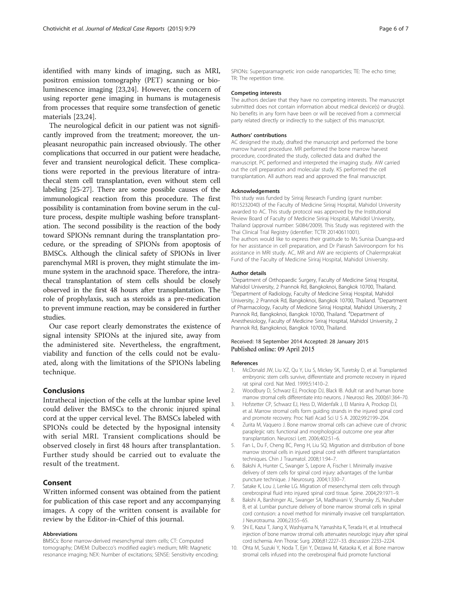<span id="page-5-0"></span>identified with many kinds of imaging, such as MRI, positron emission tomography (PET) scanning or bioluminescence imaging [[23](#page-6-0),[24](#page-6-0)]. However, the concern of using reporter gene imaging in humans is mutagenesis from processes that require some transfection of genetic materials [[23,24\]](#page-6-0).

The neurological deficit in our patient was not significantly improved from the treatment; moreover, the unpleasant neuropathic pain increased obviously. The other complications that occurred in our patient were headache, fever and transient neurological deficit. These complications were reported in the previous literature of intrathecal stem cell transplantation, even without stem cell labeling [\[25-27](#page-6-0)]. There are some possible causes of the immunological reaction from this procedure. The first possibility is contamination from bovine serum in the culture process, despite multiple washing before transplantation. The second possibility is the reaction of the body toward SPIONs remnant during the transplantation procedure, or the spreading of SPIONs from apoptosis of BMSCs. Although the clinical safety of SPIONs in liver parenchymal MRI is proven, they might stimulate the immune system in the arachnoid space. Therefore, the intrathecal transplantation of stem cells should be closely observed in the first 48 hours after transplantation. The role of prophylaxis, such as steroids as a pre-medication to prevent immune reaction, may be considered in further studies.

Our case report clearly demonstrates the existence of signal intensity SPIONs at the injured site, away from the administered site. Nevertheless, the engraftment, viability and function of the cells could not be evaluated, along with the limitations of the SPIONs labeling technique.

## Conclusions

Intrathecal injection of the cells at the lumbar spine level could deliver the BMSCs to the chronic injured spinal cord at the upper cervical level. The BMSCs labeled with SPIONs could be detected by the hyposignal intensity with serial MRI. Transient complications should be observed closely in first 48 hours after transplantation. Further study should be carried out to evaluate the result of the treatment.

# Consent

Written informed consent was obtained from the patient for publication of this case report and any accompanying images. A copy of the written consent is available for review by the Editor-in-Chief of this journal.

#### Abbreviations

BMSCs: Bone marrow-derived mesenchymal stem cells; CT: Computed tomography; DMEM: Dulbecco's modified eagle's medium; MRI: Magnetic resonance imaging; NEX: Number of excitations; SENSE: Sensitivity encoding; SPIONs: Superparamagnetic iron oxide nanoparticles; TE: The echo time; TR: The repetition time.

#### Competing interests

The authors declare that they have no competing interests. The manuscript submitted does not contain information about medical device(s) or drug(s). No benefits in any form have been or will be received from a commercial party related directly or indirectly to the subject of this manuscript.

#### Authors' contributions

AC designed the study, drafted the manuscript and performed the bone marrow harvest procedure. MR performed the bone marrow harvest procedure, coordinated the study, collected data and drafted the manuscript. PC performed and interpreted the imaging study. AW carried out the cell preparation and molecular study. KS performed the cell transplantation. All authors read and approved the final manuscript.

#### Acknowledgements

This study was funded by Siriraj Research Funding (grant number: R015232040) of the Faculty of Medicine Siriraj Hospital, Mahidol University awarded to AC. This study protocol was approved by the Institutional Review Board of Faculty of Medicine Siriraj Hospital, Mahidol University, Thailand (approval number: Si084/2009). This Study was registered with the Thai Clinical Trial Registry (identifier: TCTR 20140611001). The authors would like to express their gratitude to Ms Sunisa Duangsa-ard for her assistance in cell preparation, and Dr Pairash Saiviroonporn for his assistance in MRI study. AC, MR and AW are recipients of Chalermprakiat Fund of the Faculty of Medicine Siriraj Hospital, Mahidol University.

#### Author details

<sup>1</sup>Department of Orthopaedic Surgery, Faculty of Medicine Siriraj Hospital, Mahidol University, 2 Prannok Rd, Bangkoknoi, Bangkok 10700, Thailand. <sup>2</sup>Department of Radiology, Faculty of Medicine Siriraj Hospital, Mahidol University, 2 Prannok Rd, Bangkoknoi, Bangkok 10700, Thailand. <sup>3</sup>Department of Pharmacology, Faculty of Medicine Siriraj Hospital, Mahidol University, 2 Prannok Rd, Bangkoknoi, Bangkok 10700, Thailand. <sup>4</sup>Department of Anesthesiology, Faculty of Medicine Siriraj Hospital, Mahidol University, 2 Prannok Rd, Bangkoknoi, Bangkok 10700, Thailand.

#### Received: 18 September 2014 Accepted: 28 January 2015 Published online: 09 April 2015

#### References

- 1. McDonald JW, Liu XZ, Qu Y, Liu S, Mickey SK, Turetsky D, et al. Transplanted embryonic stem cells survive, differentiate and promote recovery in injured rat spinal cord. Nat Med. 1999;5:1410–2.
- 2. Woodbury D, Schwarz EJ, Prockop DJ, Black IB. Adult rat and human bone marrow stromal cells differentiate into neurons. J Neurosci Res. 2000;61:364–70.
- 3. Hofstetter CP, Schwarz EJ, Hess D, Widenfalk J, El Manira A, Prockop DJ, et al. Marrow stromal cells form guiding strands in the injured spinal cord and promote recovery. Proc Natl Acad Sci U S A. 2002;99:2199–204.
- 4. Zurita M, Vaquero J. Bone marrow stromal cells can achieve cure of chronic paraplegic rats: functional and morphological outcome one year after transplantation. Neurosci Lett. 2006;402:51–6.
- 5. Fan L, Du F, Cheng BC, Peng H, Liu SQ. Migration and distribution of bone marrow stromal cells in injured spinal cord with different transplantation techniques. Chin J Traumatol. 2008;11:94–7.
- 6. Bakshi A, Hunter C, Swanger S, Lepore A, Fischer I. Minimally invasive delivery of stem cells for spinal cord injury: advantages of the lumbar puncture technique. J Neurosurg. 2004;1:330–7.
- 7. Satake K, Lou J, Lenke LG. Migration of mesenchymal stem cells through cerebrospinal fluid into injured spinal cord tissue. Spine. 2004;29:1971–9.
- 8. Bakshi A, Barshinger AL, Swanger SA, Madhavani V, Shumsky JS, Neuhuber B, et al. Lumbar puncture delivery of bone marrow stromal cells in spinal cord contusion: a novel method for minimally invasive cell transplantation. J Neurotrauma. 2006;23:55–65.
- 9. Shi E, Kazui T, Jiang X, Washiyama N, Yamashita K, Terada H, et al. Intrathecal injection of bone marrow stromal cells attenuates neurologic injury after spinal cord ischemia. Ann Thorac Surg. 2006;81:2227–33. discussion 2233–2224.
- 10. Ohta M, Suzuki Y, Noda T, Ejiri Y, Dezawa M, Kataoka K, et al. Bone marrow stromal cells infused into the cerebrospinal fluid promote functional